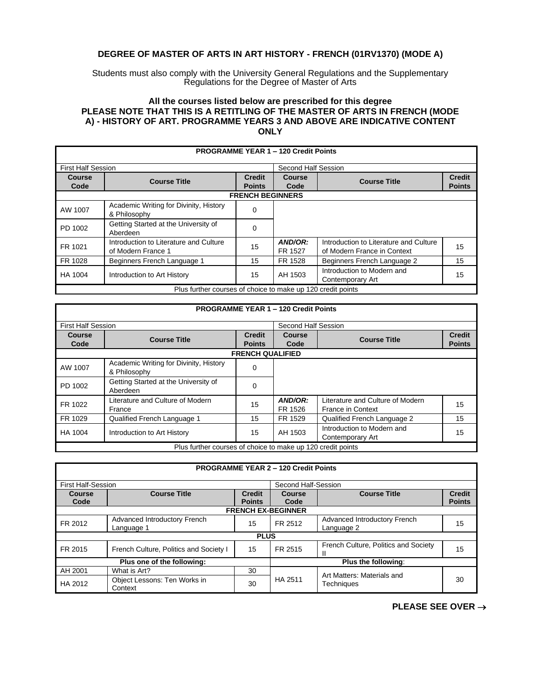## **DEGREE OF MASTER OF ARTS IN ART HISTORY - FRENCH (01RV1370) (MODE A)**

Students must also comply with the University General Regulations and the Supplementary Regulations for the Degree of Master of Arts

## **All the courses listed below are prescribed for this degree PLEASE NOTE THAT THIS IS A RETITLING OF THE MASTER OF ARTS IN FRENCH (MODE A) - HISTORY OF ART. PROGRAMME YEARS 3 AND ABOVE ARE INDICATIVE CONTENT ONLY**

|                           |                                                              |               | <b>PROGRAMME YEAR 1 - 120 Credit Points</b> |                                                                       |               |  |  |
|---------------------------|--------------------------------------------------------------|---------------|---------------------------------------------|-----------------------------------------------------------------------|---------------|--|--|
| <b>First Half Session</b> |                                                              |               | Second Half Session                         |                                                                       |               |  |  |
| Course                    | <b>Course Title</b>                                          | <b>Credit</b> | Course                                      | <b>Course Title</b>                                                   | <b>Credit</b> |  |  |
| Code                      |                                                              | <b>Points</b> | Code                                        |                                                                       | <b>Points</b> |  |  |
|                           | <b>FRENCH BEGINNERS</b>                                      |               |                                             |                                                                       |               |  |  |
| AW 1007                   | Academic Writing for Divinity, History<br>& Philosophy       | 0             |                                             |                                                                       |               |  |  |
| PD 1002                   | Getting Started at the University of<br>Aberdeen             | 0             |                                             |                                                                       |               |  |  |
| FR 1021                   | Introduction to Literature and Culture<br>of Modern France 1 | 15            | AND/OR:<br>FR 1527                          | Introduction to Literature and Culture<br>of Modern France in Context | 15            |  |  |
| FR 1028                   | Beginners French Language 1                                  | 15            | FR 1528                                     | Beginners French Language 2                                           | 15            |  |  |
| HA 1004                   | Introduction to Art History                                  | 15            | AH 1503                                     | Introduction to Modern and<br>Contemporary Art                        | 15            |  |  |
|                           | Plus further courses of choice to make up 120 credit points  |               |                                             |                                                                       |               |  |  |

|                           |                                                             |                                | <b>PROGRAMME YEAR 1 - 120 Credit Points</b> |                                                       |                                |  |  |
|---------------------------|-------------------------------------------------------------|--------------------------------|---------------------------------------------|-------------------------------------------------------|--------------------------------|--|--|
| <b>First Half Session</b> |                                                             |                                | Second Half Session                         |                                                       |                                |  |  |
| Course<br>Code            | <b>Course Title</b>                                         | <b>Credit</b><br><b>Points</b> | <b>Course</b><br>Code                       | <b>Course Title</b>                                   | <b>Credit</b><br><b>Points</b> |  |  |
|                           | <b>FRENCH QUALIFIED</b>                                     |                                |                                             |                                                       |                                |  |  |
| AW 1007                   | Academic Writing for Divinity, History<br>& Philosophy      | 0                              |                                             |                                                       |                                |  |  |
| PD 1002                   | Getting Started at the University of<br>Aberdeen            | $\Omega$                       |                                             |                                                       |                                |  |  |
| FR 1022                   | Literature and Culture of Modern<br>France                  | 15                             | AND/OR:<br>FR 1526                          | Literature and Culture of Modern<br>France in Context | 15                             |  |  |
| FR 1029                   | Qualified French Language 1                                 | 15                             | FR 1529                                     | Qualified French Language 2                           | 15                             |  |  |
| HA 1004                   | Introduction to Art History                                 | 15                             | AH 1503                                     | Introduction to Modern and<br>Contemporary Art        | 15                             |  |  |
|                           | Plus further courses of choice to make up 120 credit points |                                |                                             |                                                       |                                |  |  |

|                            |                                            |               | <b>PROGRAMME YEAR 2 - 120 Credit Points</b> |                                            |               |  |  |
|----------------------------|--------------------------------------------|---------------|---------------------------------------------|--------------------------------------------|---------------|--|--|
|                            |                                            |               |                                             |                                            |               |  |  |
| <b>First Half-Session</b>  |                                            |               | Second Half-Session                         |                                            |               |  |  |
| <b>Course</b>              | <b>Course Title</b>                        | <b>Credit</b> | Course                                      | <b>Course Title</b>                        | <b>Credit</b> |  |  |
| Code                       |                                            | <b>Points</b> | Code                                        |                                            | <b>Points</b> |  |  |
|                            | <b>FRENCH EX-BEGINNER</b>                  |               |                                             |                                            |               |  |  |
| FR 2012                    | Advanced Introductory French<br>Language 1 | 15            | FR 2512                                     | Advanced Introductory French<br>Language 2 | 15            |  |  |
|                            |                                            | <b>PLUS</b>   |                                             |                                            |               |  |  |
| FR 2015                    | French Culture, Politics and Society I     | 15            | FR 2515                                     | French Culture, Politics and Society<br>Ш  | 15            |  |  |
| Plus one of the following: |                                            |               | Plus the following:                         |                                            |               |  |  |
| AH 2001                    | What is Art?                               | 30            |                                             | Art Matters: Materials and                 |               |  |  |
| HA 2012                    | Object Lessons: Ten Works in<br>Context    | 30            | HA 2511                                     | Techniques                                 | 30            |  |  |

**PLEASE SEE OVER** →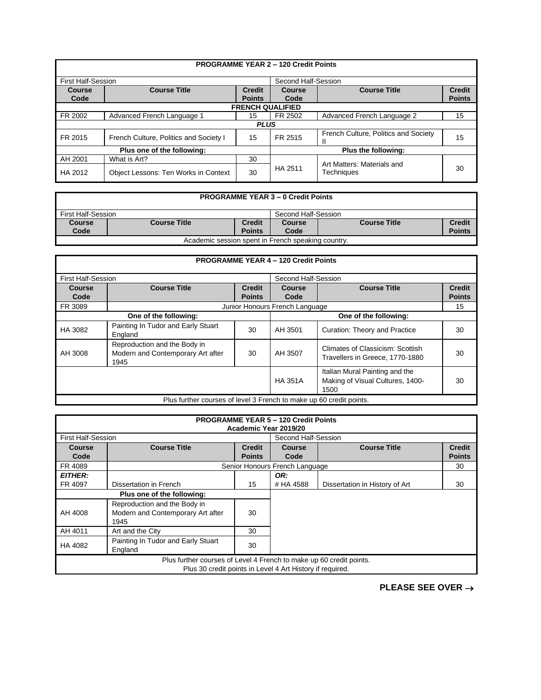|                           |                                        |                                | <b>PROGRAMME YEAR 2 - 120 Credit Points</b> |                                      |                                |  |
|---------------------------|----------------------------------------|--------------------------------|---------------------------------------------|--------------------------------------|--------------------------------|--|
| <b>First Half-Session</b> |                                        |                                | Second Half-Session                         |                                      |                                |  |
| <b>Course</b><br>Code     | <b>Course Title</b>                    | <b>Credit</b><br><b>Points</b> | Course<br>Code                              | <b>Course Title</b>                  | <b>Credit</b><br><b>Points</b> |  |
|                           | <b>FRENCH QUALIFIED</b>                |                                |                                             |                                      |                                |  |
| FR 2002                   | Advanced French Language 1             | 15                             | FR 2502                                     | Advanced French Language 2           | 15                             |  |
|                           |                                        | <b>PLUS</b>                    |                                             |                                      |                                |  |
| FR 2015                   | French Culture, Politics and Society I | 15                             | FR 2515                                     | French Culture, Politics and Society | 15                             |  |
|                           | Plus one of the following:             |                                |                                             | Plus the following:                  |                                |  |
| AH 2001                   | What is Art?                           | 30                             |                                             | Art Matters: Materials and           |                                |  |
| HA 2012                   | Object Lessons: Ten Works in Context   | 30                             | HA 2511                                     | Techniques                           | 30                             |  |

## **PROGRAMME YEAR 3 – 0 Credit Points**

| First Half-Session                                 |                     |                         | Second Half-Session |                     |                                |
|----------------------------------------------------|---------------------|-------------------------|---------------------|---------------------|--------------------------------|
| Course<br>Code                                     | <b>Course Title</b> | Credit<br><b>Points</b> | Course<br>Code      | <b>Course Title</b> | <b>Credit</b><br><b>Points</b> |
| Academic session spent in French speaking country. |                     |                         |                     |                     |                                |

|                           |                                                                           |                                | <b>PROGRAMME YEAR 4 - 120 Credit Points</b> |                                                                            |                                |
|---------------------------|---------------------------------------------------------------------------|--------------------------------|---------------------------------------------|----------------------------------------------------------------------------|--------------------------------|
| <b>First Half-Session</b> |                                                                           |                                | Second Half-Session                         |                                                                            |                                |
| Course<br>Code            | <b>Course Title</b>                                                       | <b>Credit</b><br><b>Points</b> | Course<br>Code                              | <b>Course Title</b>                                                        | <b>Credit</b><br><b>Points</b> |
| FR 3089                   |                                                                           |                                | Junior Honours French Language              |                                                                            | 15                             |
|                           | One of the following:                                                     |                                |                                             | One of the following:                                                      |                                |
| HA 3082                   | Painting In Tudor and Early Stuart<br>England                             | 30                             | AH 3501                                     | Curation: Theory and Practice                                              | 30                             |
| AH 3008                   | Reproduction and the Body in<br>Modern and Contemporary Art after<br>1945 | 30                             | AH 3507                                     | Climates of Classicism: Scottish<br>Travellers in Greece, 1770-1880        | 30                             |
|                           |                                                                           |                                | <b>HA 351A</b>                              | Italian Mural Painting and the<br>Making of Visual Cultures, 1400-<br>1500 | 30                             |
|                           | Plus further courses of level 3 French to make up 60 credit points.       |                                |                                             |                                                                            |                                |

|                                                                     | <b>PROGRAMME YEAR 5 - 120 Credit Points</b><br>Academic Year 2019/20 |               |                                |                                |               |  |
|---------------------------------------------------------------------|----------------------------------------------------------------------|---------------|--------------------------------|--------------------------------|---------------|--|
|                                                                     | <b>First Half-Session</b><br>Second Half-Session                     |               |                                |                                |               |  |
| Course                                                              | <b>Course Title</b>                                                  | <b>Credit</b> | Course                         | <b>Course Title</b>            | <b>Credit</b> |  |
| Code                                                                |                                                                      | <b>Points</b> | Code                           |                                | <b>Points</b> |  |
| FR 4089                                                             |                                                                      |               | Senior Honours French Language |                                | 30            |  |
| <b>EITHER:</b>                                                      |                                                                      |               | OR:                            |                                |               |  |
| FR 4097                                                             | Dissertation in French                                               | 15            | # HA 4588                      | Dissertation in History of Art | 30            |  |
| Plus one of the following:                                          |                                                                      |               |                                |                                |               |  |
|                                                                     | Reproduction and the Body in                                         |               |                                |                                |               |  |
| AH 4008                                                             | Modern and Contemporary Art after                                    | 30            |                                |                                |               |  |
|                                                                     | 1945                                                                 |               |                                |                                |               |  |
| AH 4011                                                             | Art and the City                                                     | 30            |                                |                                |               |  |
| HA 4082                                                             | Painting In Tudor and Early Stuart                                   | 30            |                                |                                |               |  |
|                                                                     | England                                                              |               |                                |                                |               |  |
| Plus further courses of Level 4 French to make up 60 credit points. |                                                                      |               |                                |                                |               |  |
|                                                                     | Plus 30 credit points in Level 4 Art History if required.            |               |                                |                                |               |  |

**PLEASE SEE OVER** →